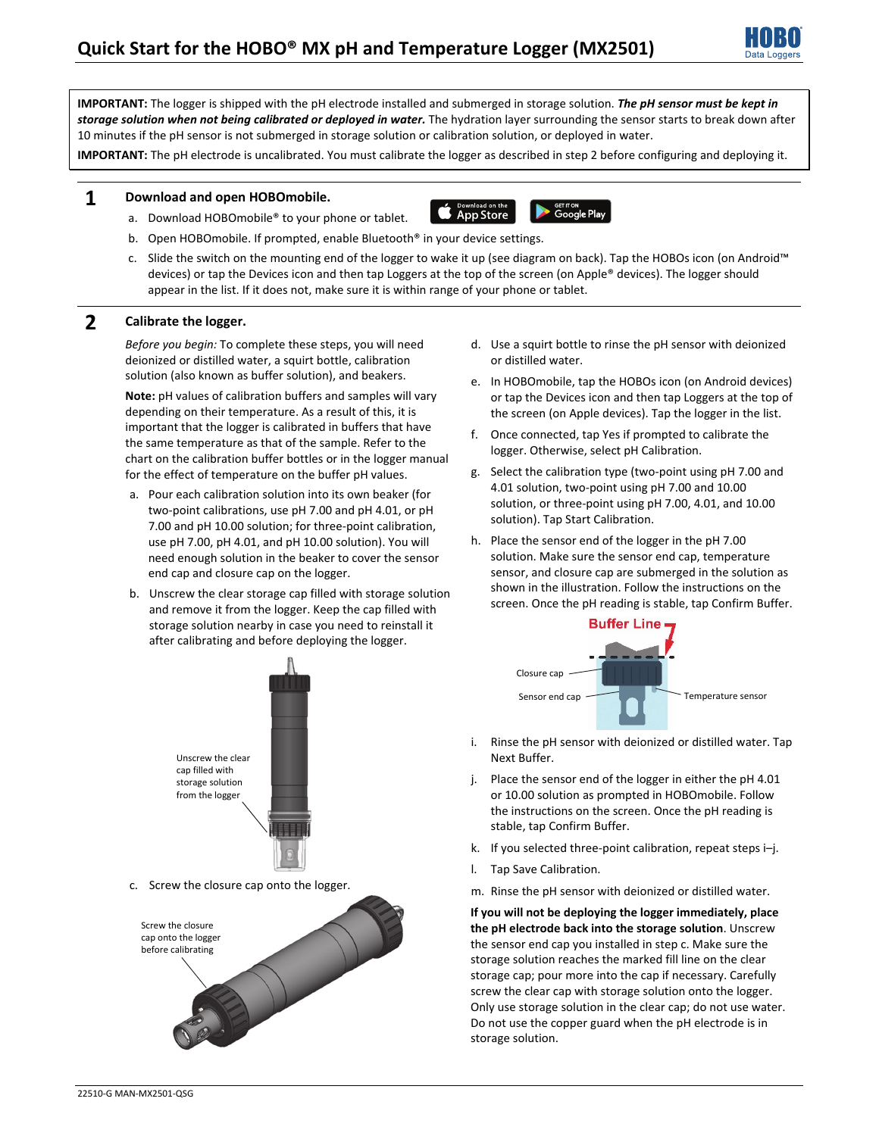

**IMPORTANT:** The logger is shipped with the pH electrode installed and submerged in storage solution. *The pH sensor must be kept in storage solution when not being calibrated or deployed in water.* The hydration layer surrounding the sensor starts to break down after 10 minutes if the pH sensor is not submerged in storage solution or calibration solution, or deployed in water.

**IMPORTANT:** The pH electrode is uncalibrated. You must calibrate the logger as described in step 2 before configuring and deploying it.

### **1 Download and open HOBOmobile.**

a. Download HOBOmobile® to your phone or tablet.

**App Store** 



- b. Open HOBOmobile. If prompted, enable Bluetooth® in your device settings.
- c. Slide the switch on the mounting end of the logger to wake it up (see diagram on back). Tap the HOBOs icon (on Android™ devices) or tap the Devices icon and then tap Loggers at the top of the screen (on Apple® devices). The logger should appear in the list. If it does not, make sure it is within range of your phone or tablet.

## **2 Calibrate the logger.**

*Before you begin:* To complete these steps, you will need deionized or distilled water, a squirt bottle, calibration solution (also known as buffer solution), and beakers.

**Note:** pH values of calibration buffers and samples will vary depending on their temperature. As a result of this, it is important that the logger is calibrated in buffers that have the same temperature as that of the sample. Refer to the chart on the calibration buffer bottles or in the logger manual for the effect of temperature on the buffer pH values.

- a. Pour each calibration solution into its own beaker (for two-point calibrations, use pH 7.00 and pH 4.01, or pH 7.00 and pH 10.00 solution; for three-point calibration, use pH 7.00, pH 4.01, and pH 10.00 solution). You will need enough solution in the beaker to cover the sensor end cap and closure cap on the logger.
- b. Unscrew the clear storage cap filled with storage solution and remove it from the logger. Keep the cap filled with storage solution nearby in case you need to reinstall it after calibrating and before deploying the logger.
- d. Use a squirt bottle to rinse the pH sensor with deionized or distilled water.
- e. In HOBOmobile, tap the HOBOs icon (on Android devices) or tap the Devices icon and then tap Loggers at the top of the screen (on Apple devices). Tap the logger in the list.
- f. Once connected, tap Yes if prompted to calibrate the logger. Otherwise, select pH Calibration.
- g. Select the calibration type (two-point using pH 7.00 and 4.01 solution, two-point using pH 7.00 and 10.00 solution, or three-point using pH 7.00, 4.01, and 10.00 solution). Tap Start Calibration.
- h. Place the sensor end of the logger in the pH 7.00 solution. Make sure the sensor end cap, temperature sensor, and closure cap are submerged in the solution as shown in the illustration. Follow the instructions on the screen. Once the pH reading is stable, tap Confirm Buffer.



- i. Rinse the pH sensor with deionized or distilled water. Tap Next Buffer.
- j. Place the sensor end of the logger in either the pH 4.01 or 10.00 solution as prompted in HOBOmobile. Follow the instructions on the screen. Once the pH reading is stable, tap Confirm Buffer.
- k. If you selected three-point calibration, repeat steps i–j.
- l. Tap Save Calibration.
- m. Rinse the pH sensor with deionized or distilled water.

**If you will not be deploying the logger immediately, place the pH electrode back into the storage solution**. Unscrew the sensor end cap you installed in step c. Make sure the storage solution reaches the marked fill line on the clear storage cap; pour more into the cap if necessary. Carefully screw the clear cap with storage solution onto the logger. Only use storage solution in the clear cap; do not use water. Do not use the copper guard when the pH electrode is in storage solution.